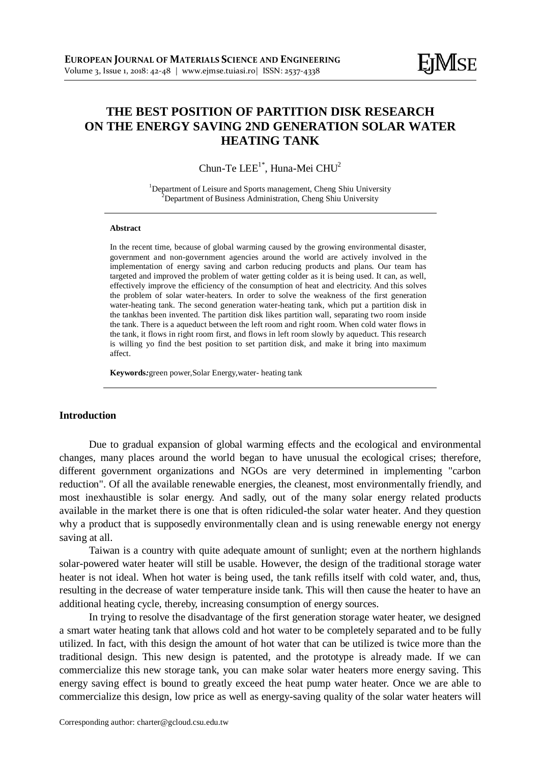# **THE BEST POSITION OF PARTITION DISK RESEARCH ON THE ENERGY SAVING 2ND GENERATION SOLAR WATER HEATING TANK**

Chun-Te  $LEE^{1*}$ , Huna-Mei CHU<sup>2</sup>

<sup>1</sup>Department of Leisure and Sports management, Cheng Shiu University <sup>2</sup>Department of Business Administration, Cheng Shiu University

#### **Abstract**

In the recent time, because of global warming caused by the growing environmental disaster, government and non-government agencies around the world are actively involved in the implementation of energy saving and carbon reducing products and plans. Our team has targeted and improved the problem of water getting colder as it is being used. It can, as well, effectively improve the efficiency of the consumption of heat and electricity. And this solves the problem of solar water-heaters. In order to solve the weakness of the first generation water-heating tank. The second generation water-heating tank, which put a partition disk in the tankhas been invented. The partition disk likes partition wall, separating two room inside the tank. There is a aqueduct between the left room and right room. When cold water flows in the tank, it flows in right room first, and flows in left room slowly by aqueduct. This research is willing yo find the best position to set partition disk, and make it bring into maximum affect.

**Keywords***:*green power,Solar Energy,water- heating tank

#### **Introduction**

Due to gradual expansion of global warming effects and the ecological and environmental changes, many places around the world began to have unusual the ecological crises; therefore, different government organizations and NGOs are very determined in implementing "carbon reduction". Of all the available renewable energies, the cleanest, most environmentally friendly, and most inexhaustible is solar energy. And sadly, out of the many solar energy related products available in the market there is one that is often ridiculed-the solar water heater. And they question why a product that is supposedly environmentally clean and is using renewable energy not energy saving at all.

Taiwan is a country with quite adequate amount of sunlight; even at the northern highlands solar-powered water heater will still be usable. However, the design of the traditional storage water heater is not ideal. When hot water is being used, the tank refills itself with cold water, and, thus, resulting in the decrease of water temperature inside tank. This will then cause the heater to have an additional heating cycle, thereby, increasing consumption of energy sources.

In trying to resolve the disadvantage of the first generation storage water heater, we designed a smart water heating tank that allows cold and hot water to be completely separated and to be fully utilized. In fact, with this design the amount of hot water that can be utilized is twice more than the traditional design. This new design is patented, and the prototype is already made. If we can commercialize this new storage tank, you can make solar water heaters more energy saving. This energy saving effect is bound to greatly exceed the heat pump water heater. Once we are able to commercialize this design, low price as well as energy-saving quality of the solar water heaters will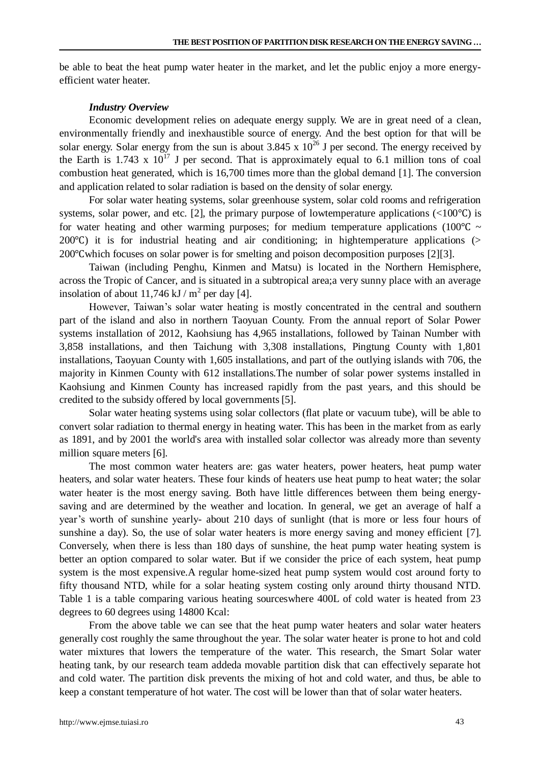be able to beat the heat pump water heater in the market, and let the public enjoy a more energyefficient water heater.

#### *Industry Overview*

Economic development relies on adequate energy supply. We are in great need of a clean, environmentally friendly and inexhaustible source of energy. And the best option for that will be solar energy. Solar energy from the sun is about 3.845 x  $10^{26}$  J per second. The energy received by the Earth is 1.743 x  $10^{17}$  J per second. That is approximately equal to 6.1 million tons of coal combustion heat generated, which is 16,700 times more than the global demand [1]. The conversion and application related to solar radiation is based on the density of solar energy.

For solar water heating systems, solar greenhouse system, solar cold rooms and refrigeration systems, solar power, and etc. [2], the primary purpose of lowtemperature applications  $\left(\langle100^{\circ}\text{C}\right)$  is for water heating and other warming purposes; for medium temperature applications (100°C  $\sim$ 200℃) it is for industrial heating and air conditioning; in hightemperature applications (> 200℃which focuses on solar power is for smelting and poison decomposition purposes [2][3].

Taiwan (including Penghu, Kinmen and Matsu) is located in the Northern Hemisphere, across the Tropic of Cancer, and is situated in a subtropical area;a very sunny place with an average insolation of about 11,746 kJ /  $m^2$  per day [4].

However, Taiwan's solar water heating is mostly concentrated in the central and southern part of the island and also in northern Taoyuan County. From the annual report of Solar Power systems installation of 2012, Kaohsiung has 4,965 installations, followed by Tainan Number with 3,858 installations, and then Taichung with 3,308 installations, Pingtung County with 1,801 installations, Taoyuan County with 1,605 installations, and part of the outlying islands with 706, the majority in Kinmen County with 612 installations.The number of solar power systems installed in Kaohsiung and Kinmen County has increased rapidly from the past years, and this should be credited to the subsidy offered by local governments[5].

Solar water heating systems using solar collectors (flat plate or vacuum tube), will be able to convert solar radiation to thermal energy in heating water. This has been in the market from as early as 1891, and by 2001 the world's area with installed solar collector was already more than seventy million square meters [6].

The most common water heaters are: gas water heaters, power heaters, heat pump water heaters, and solar water heaters. These four kinds of heaters use heat pump to heat water; the solar water heater is the most energy saving. Both have little differences between them being energysaving and are determined by the weather and location. In general, we get an average of half a year's worth of sunshine yearly- about 210 days of sunlight (that is more or less four hours of sunshine a day). So, the use of solar water heaters is more energy saving and money efficient [7]. Conversely, when there is less than 180 days of sunshine, the heat pump water heating system is better an option compared to solar water. But if we consider the price of each system, heat pump system is the most expensive.A regular home-sized heat pump system would cost around forty to fifty thousand NTD, while for a solar heating system costing only around thirty thousand NTD. Table 1 is a table comparing various heating sourceswhere 400L of cold water is heated from 23 degrees to 60 degrees using 14800 Kcal:

From the above table we can see that the heat pump water heaters and solar water heaters generally cost roughly the same throughout the year. The solar water heater is prone to hot and cold water mixtures that lowers the temperature of the water. This research, the Smart Solar water heating tank, by our research team addeda movable partition disk that can effectively separate hot and cold water. The partition disk prevents the mixing of hot and cold water, and thus, be able to keep a constant temperature of hot water. The cost will be lower than that of solar water heaters.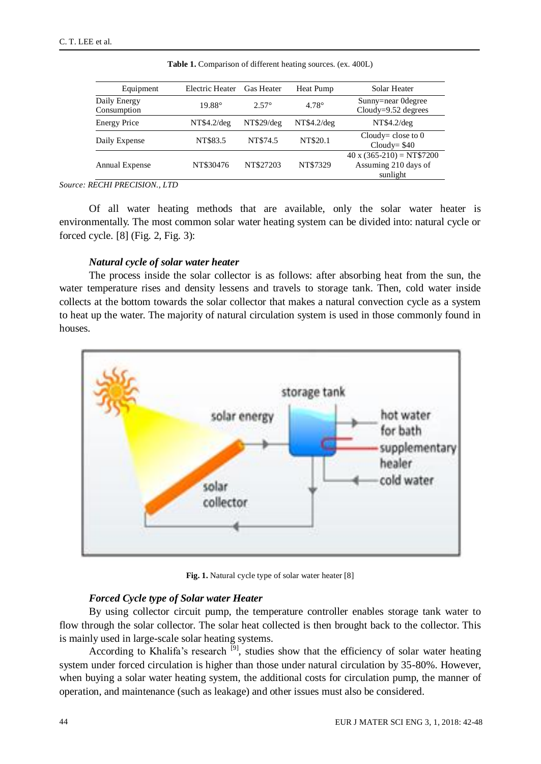| Equipment                   | Electric Heater          | <b>Gas Heater</b> | Heat Pump    | Solar Heater                                                        |  |
|-----------------------------|--------------------------|-------------------|--------------|---------------------------------------------------------------------|--|
| Daily Energy<br>Consumption | $2.57^{\circ}$<br>19.88° |                   | $4.78^\circ$ | Sunny=near Odegree<br>$Cloudy=9.52$ degrees                         |  |
| <b>Energy Price</b>         | NT\$4.2/deg              | NT\$29/deg        | NT\$4.2/deg  | NT\$4.2/deg                                                         |  |
| Daily Expense               | NT\$83.5                 | NT\$74.5          | NT\$20.1     | Cloudy = close to $0$<br>$Cloudy = $40$                             |  |
| Annual Expense              | NT\$30476                | NT\$27203         | NT\$7329     | $40 \times (365-210) = NT$7200$<br>Assuming 210 days of<br>sunlight |  |

**Table 1.** Comparison of different heating sources. (ex. 400L)

*Source: RECHI PRECISION., LTD*

Of all water heating methods that are available, only the solar water heater is environmentally. The most common solar water heating system can be divided into: natural cycle or forced cycle. [8] (Fig. 2, Fig. 3):

#### *Natural cycle of solar water heater*

The process inside the solar collector is as follows: after absorbing heat from the sun, the water temperature rises and density lessens and travels to storage tank. Then, cold water inside collects at the bottom towards the solar collector that makes a natural convection cycle as a system to heat up the water. The majority of natural circulation system is used in those commonly found in houses.



Fig. 1. Natural cycle type of solar water heater [8]

### *Forced Cycle type of Solar water Heater*

By using collector circuit pump, the temperature controller enables storage tank water to flow through the solar collector. The solar heat collected is then brought back to the collector. This is mainly used in large-scale solar heating systems.

According to Khalifa's research  $\left[9\right]$ , studies show that the efficiency of solar water heating system under forced circulation is higher than those under natural circulation by 35-80%. However, when buying a solar water heating system, the additional costs for circulation pump, the manner of operation, and maintenance (such as leakage) and other issues must also be considered.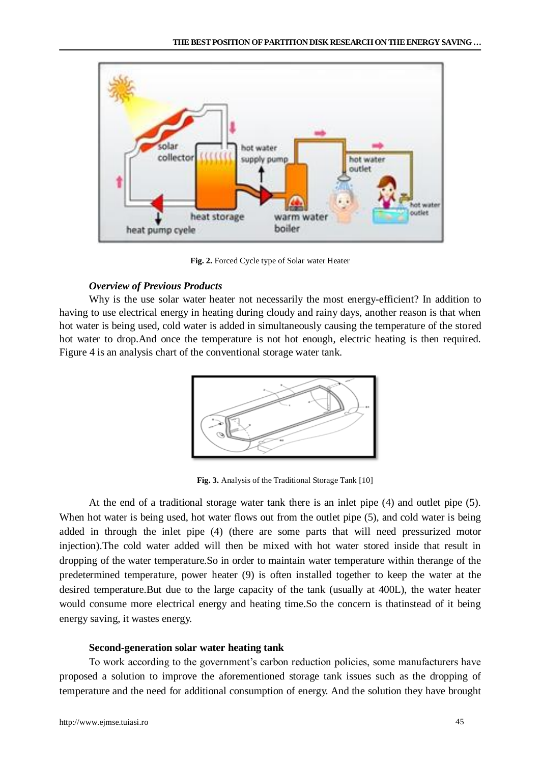

**Fig. 2.** Forced Cycle type of Solar water Heater

# *Overview of Previous Products*

Why is the use solar water heater not necessarily the most energy-efficient? In addition to having to use electrical energy in heating during cloudy and rainy days, another reason is that when hot water is being used, cold water is added in simultaneously causing the temperature of the stored hot water to drop.And once the temperature is not hot enough, electric heating is then required. Figure 4 is an analysis chart of the conventional storage water tank.



**Fig. 3.** Analysis of the Traditional Storage Tank [10]

At the end of a traditional storage water tank there is an inlet pipe (4) and outlet pipe (5). When hot water is being used, hot water flows out from the outlet pipe (5), and cold water is being added in through the inlet pipe (4) (there are some parts that will need pressurized motor injection).The cold water added will then be mixed with hot water stored inside that result in dropping of the water temperature.So in order to maintain water temperature within therange of the predetermined temperature, power heater (9) is often installed together to keep the water at the desired temperature.But due to the large capacity of the tank (usually at 400L), the water heater would consume more electrical energy and heating time.So the concern is thatinstead of it being energy saving, it wastes energy.

# **Second-generation solar water heating tank**

To work according to the government's carbon reduction policies, some manufacturers have proposed a solution to improve the aforementioned storage tank issues such as the dropping of temperature and the need for additional consumption of energy. And the solution they have brought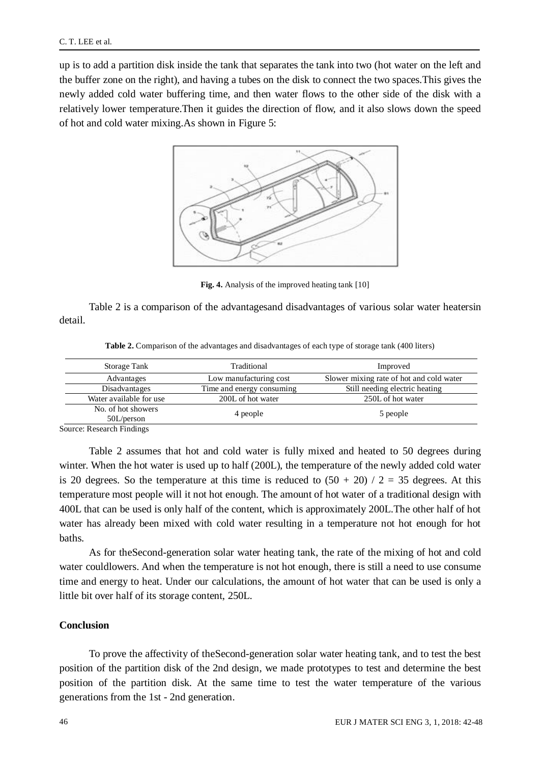up is to add a partition disk inside the tank that separates the tank into two (hot water on the left and the buffer zone on the right), and having a tubes on the disk to connect the two spaces.This gives the newly added cold water buffering time, and then water flows to the other side of the disk with a relatively lower temperature.Then it guides the direction of flow, and it also slows down the speed of hot and cold water mixing.As shown in Figure 5:



**Fig. 4.** Analysis of the improved heating tank [10]

Table 2 is a comparison of the advantagesand disadvantages of various solar water heatersin detail.

**Table 2.** Comparison of the advantages and disadvantages of each type of storage tank (400 liters)

|            | Storage Tank                     | Traditional               | Improved                                 |  |  |
|------------|----------------------------------|---------------------------|------------------------------------------|--|--|
|            | Advantages                       | Low manufacturing cost    | Slower mixing rate of hot and cold water |  |  |
|            | Disadvantages                    | Time and energy consuming | Still needing electric heating           |  |  |
|            | Water available for use          | 200L of hot water         | 250L of hot water                        |  |  |
|            | No. of hot showers<br>50L/person | 4 people                  | 5 people                                 |  |  |
| $\sqrt{ }$ | 1.771.11                         |                           |                                          |  |  |

Source: Research Findings

Table 2 assumes that hot and cold water is fully mixed and heated to 50 degrees during winter. When the hot water is used up to half (200L), the temperature of the newly added cold water is 20 degrees. So the temperature at this time is reduced to  $(50 + 20) / 2 = 35$  degrees. At this temperature most people will it not hot enough. The amount of hot water of a traditional design with 400L that can be used is only half of the content, which is approximately 200L.The other half of hot water has already been mixed with cold water resulting in a temperature not hot enough for hot baths.

As for theSecond-generation solar water heating tank, the rate of the mixing of hot and cold water couldlowers. And when the temperature is not hot enough, there is still a need to use consume time and energy to heat. Under our calculations, the amount of hot water that can be used is only a little bit over half of its storage content, 250L.

# **Conclusion**

To prove the affectivity of theSecond-generation solar water heating tank, and to test the best position of the partition disk of the 2nd design, we made prototypes to test and determine the best position of the partition disk. At the same time to test the water temperature of the various generations from the 1st - 2nd generation.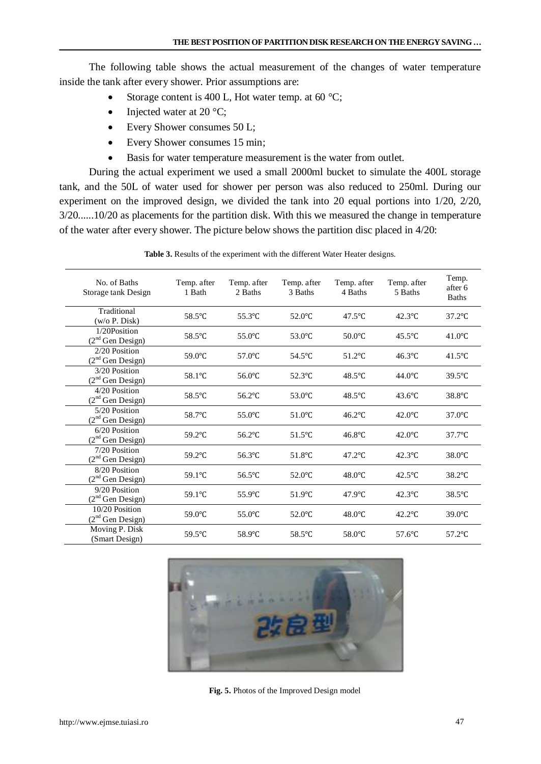The following table shows the actual measurement of the changes of water temperature inside the tank after every shower. Prior assumptions are:

- Storage content is 400 L, Hot water temp. at 60  $^{\circ}$ C;
- Injected water at 20  $\degree$ C;
- Every Shower consumes 50 L;
- Every Shower consumes 15 min;
- Basis for water temperature measurement is the water from outlet.

During the actual experiment we used a small 2000ml bucket to simulate the 400L storage tank, and the 50L of water used for shower per person was also reduced to 250ml. During our experiment on the improved design, we divided the tank into 20 equal portions into 1/20, 2/20, 3/20......10/20 as placements for the partition disk. With this we measured the change in temperature of the water after every shower. The picture below shows the partition disc placed in 4/20:

| No. of Baths<br>Storage tank Design          | Temp. after<br>1 Bath | Temp. after<br>2 Baths | Temp. after<br>3 Baths | Temp. after<br>4 Baths | Temp. after<br>5 Baths | Temp.<br>after 6<br><b>Baths</b> |
|----------------------------------------------|-----------------------|------------------------|------------------------|------------------------|------------------------|----------------------------------|
| Traditional<br>(w/o P. Disk)                 | 58.5°C                | 55.3°C                 | $52.0^{\circ}$ C       | $47.5^{\circ}$ C       | $42.3^{\circ}$ C       | $37.2$ °C                        |
| 1/20Position<br>(2 <sup>nd</sup> Gen Design) | 58.5°C                | $55.0^{\circ}$ C       | $53.0^{\circ}$ C       | $50.0$ °C              | $45.5^{\circ}$ C       | 41.0 $\degree$ C                 |
| 2/20 Position<br>$(2nd$ Gen Design)          | $59.0^{\circ}$ C      | $57.0^{\circ}$ C       | $54.5^{\circ}$ C       | $51.2$ °C              | $46.3^{\circ}$ C       | 41.5 $\degree$ C                 |
| 3/20 Position<br>$(2nd$ Gen Design)          | 58.1°C                | 56.0°C                 | 52.3°C                 | $48.5^{\circ}$ C       | $44.0^{\circ}$ C       | $39.5^{\circ}$ C                 |
| 4/20 Position<br>$(2nd$ Gen Design)          | 58.5°C                | $56.2$ °C              | 53.0°C                 | $48.5^{\circ}$ C       | $43.6^{\circ}$ C       | 38.8°C                           |
| 5/20 Position<br>$(2nd$ Gen Design)          | 58.7°C                | $55.0^{\circ}$ C       | $51.0^{\circ}$ C       | $46.2$ °C              | $42.0^{\circ}$ C       | $37.0$ °C                        |
| $6/20$ Position<br>$(2nd$ Gen Design)        | $59.2^{\circ}$ C      | $56.2$ °C              | $51.5^{\circ}$ C       | $46.8^{\circ}$ C       | $42.0^{\circ}$ C       | $37.7^{\circ}$ C                 |
| 7/20 Position<br>$(2nd$ Gen Design)          | 59.2°C                | 56.3°C                 | $51.8^{\circ}$ C       | $47.2$ °C              | $42.3^{\circ}$ C       | $38.0^{\circ}$ C                 |
| 8/20 Position<br>$(2nd$ Gen Design)          | 59.1°C                | 56.5°C                 | $52.0^{\circ}$ C       | $48.0^{\circ}$ C       | $42.5^{\circ}$ C       | 38.2°C                           |
| 9/20 Position<br>$(2nd$ Gen Design)          | 59.1°C                | $55.9^{\circ}$ C       | $51.9^{\circ}$ C       | $47.9^{\circ}$ C       | $42.3^{\circ}$ C       | 38.5°C                           |
| 10/20 Position<br>$(2nd$ Gen Design)         | $59.0^{\circ}$ C      | $55.0^{\circ}$ C       | $52.0^{\circ}$ C       | $48.0^{\circ}$ C       | $42.2$ °C              | $39.0^{\circ}$ C                 |
| Moving P. Disk<br>(Smart Design)             | $59.5^{\circ}$ C      | 58.9°C                 | $58.5^{\circ}$ C       | $58.0$ °C              | $57.6$ °C              | $57.2$ °C                        |

**Table 3.** Results of the experiment with the different Water Heater designs.



**Fig. 5.** Photos of the Improved Design model